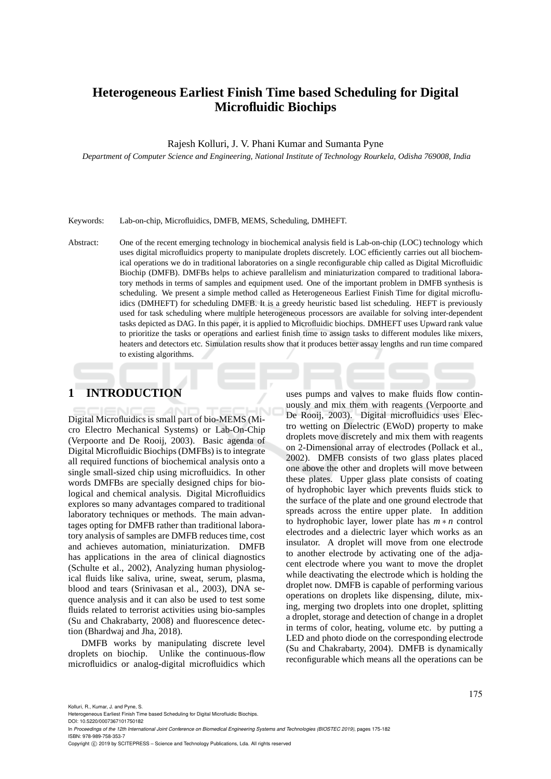# **Heterogeneous Earliest Finish Time based Scheduling for Digital Microfluidic Biochips**

Rajesh Kolluri, J. V. Phani Kumar and Sumanta Pyne

*Department of Computer Science and Engineering, National Institute of Technology Rourkela, Odisha 769008, India*

Keywords: Lab-on-chip, Microfluidics, DMFB, MEMS, Scheduling, DMHEFT.

Abstract: One of the recent emerging technology in biochemical analysis field is Lab-on-chip (LOC) technology which uses digital microfluidics property to manipulate droplets discretely. LOC efficiently carries out all biochemical operations we do in traditional laboratories on a single reconfigurable chip called as Digital Microfluidic Biochip (DMFB). DMFBs helps to achieve parallelism and miniaturization compared to traditional laboratory methods in terms of samples and equipment used. One of the important problem in DMFB synthesis is scheduling. We present a simple method called as Heterogeneous Earliest Finish Time for digital microfluidics (DMHEFT) for scheduling DMFB. It is a greedy heuristic based list scheduling. HEFT is previously used for task scheduling where multiple heterogeneous processors are available for solving inter-dependent tasks depicted as DAG. In this paper, it is applied to Microfluidic biochips. DMHEFT uses Upward rank value to prioritize the tasks or operations and earliest finish time to assign tasks to different modules like mixers, heaters and detectors etc. Simulation results show that it produces better assay lengths and run time compared to existing algorithms.

# **1 INTRODUCTION**

Digital Microfluidics is small part of bio-MEMS (Micro Electro Mechanical Systems) or Lab-On-Chip (Verpoorte and De Rooij, 2003). Basic agenda of Digital Microfluidic Biochips (DMFBs) is to integrate all required functions of biochemical analysis onto a single small-sized chip using microfluidics. In other words DMFBs are specially designed chips for biological and chemical analysis. Digital Microfluidics explores so many advantages compared to traditional laboratory techniques or methods. The main advantages opting for DMFB rather than traditional laboratory analysis of samples are DMFB reduces time, cost and achieves automation, miniaturization. DMFB has applications in the area of clinical diagnostics (Schulte et al., 2002), Analyzing human physiological fluids like saliva, urine, sweat, serum, plasma, blood and tears (Srinivasan et al., 2003), DNA sequence analysis and it can also be used to test some fluids related to terrorist activities using bio-samples (Su and Chakrabarty, 2008) and fluorescence detection (Bhardwaj and Jha, 2018).

DMFB works by manipulating discrete level droplets on biochip. Unlike the continuous-flow microfluidics or analog-digital microfluidics which

uses pumps and valves to make fluids flow continuously and mix them with reagents (Verpoorte and De Rooij, 2003). Digital microfluidics uses Electro wetting on Dielectric (EWoD) property to make droplets move discretely and mix them with reagents on 2-Dimensional array of electrodes (Pollack et al., 2002). DMFB consists of two glass plates placed one above the other and droplets will move between these plates. Upper glass plate consists of coating of hydrophobic layer which prevents fluids stick to the surface of the plate and one ground electrode that spreads across the entire upper plate. In addition to hydrophobic layer, lower plate has *m* ∗ *n* control electrodes and a dielectric layer which works as an insulator. A droplet will move from one electrode to another electrode by activating one of the adjacent electrode where you want to move the droplet while deactivating the electrode which is holding the droplet now. DMFB is capable of performing various operations on droplets like dispensing, dilute, mixing, merging two droplets into one droplet, splitting a droplet, storage and detection of change in a droplet in terms of color, heating, volume etc. by putting a LED and photo diode on the corresponding electrode (Su and Chakrabarty, 2004). DMFB is dynamically reconfigurable which means all the operations can be

In *Proceedings of the 12th International Joint Conference on Biomedical Engineering Systems and Technologies (BIOSTEC 2019)*, pages 175-182 ISBN: 978-989-758-353-7

Copyright (C) 2019 by SCITEPRESS - Science and Technology Publications, Lda. All rights reserved

Heterogeneous Earliest Finish Time based Scheduling for Digital Microfluidic Biochips.

DOI: 10.5220/0007367101750182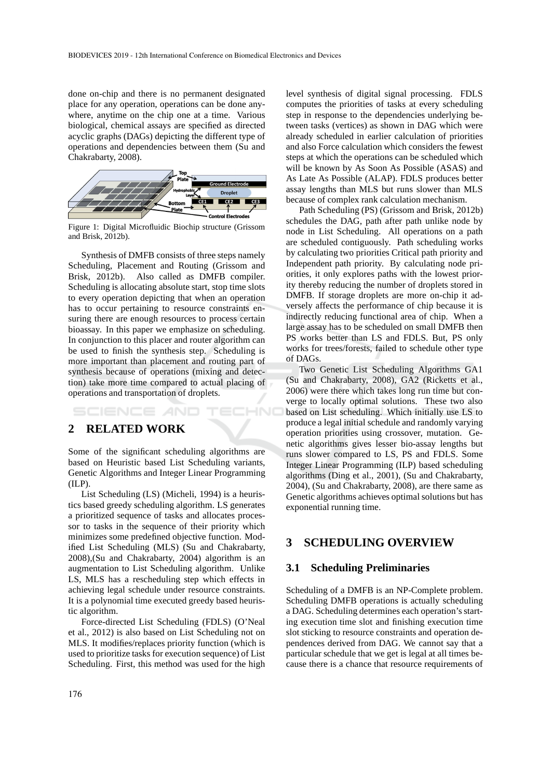done on-chip and there is no permanent designated place for any operation, operations can be done anywhere, anytime on the chip one at a time. Various biological, chemical assays are specified as directed acyclic graphs (DAGs) depicting the different type of operations and dependencies between them (Su and Chakrabarty, 2008).



Figure 1: Digital Microfluidic Biochip structure (Grissom and Brisk, 2012b).

Synthesis of DMFB consists of three steps namely Scheduling, Placement and Routing (Grissom and Brisk, 2012b). Also called as DMFB compiler. Scheduling is allocating absolute start, stop time slots to every operation depicting that when an operation has to occur pertaining to resource constraints ensuring there are enough resources to process certain bioassay. In this paper we emphasize on scheduling. In conjunction to this placer and router algorithm can be used to finish the synthesis step. Scheduling is more important than placement and routing part of synthesis because of operations (mixing and detection) take more time compared to actual placing of operations and transportation of droplets.

HNO SCIENCE *A*NI

# **2 RELATED WORK**

Some of the significant scheduling algorithms are based on Heuristic based List Scheduling variants, Genetic Algorithms and Integer Linear Programming (ILP).

List Scheduling (LS) (Micheli, 1994) is a heuristics based greedy scheduling algorithm. LS generates a prioritized sequence of tasks and allocates processor to tasks in the sequence of their priority which minimizes some predefined objective function. Modified List Scheduling (MLS) (Su and Chakrabarty, 2008),(Su and Chakrabarty, 2004) algorithm is an augmentation to List Scheduling algorithm. Unlike LS, MLS has a rescheduling step which effects in achieving legal schedule under resource constraints. It is a polynomial time executed greedy based heuristic algorithm.

Force-directed List Scheduling (FDLS) (O'Neal et al., 2012) is also based on List Scheduling not on MLS. It modifies/replaces priority function (which is used to prioritize tasks for execution sequence) of List Scheduling. First, this method was used for the high level synthesis of digital signal processing. FDLS computes the priorities of tasks at every scheduling step in response to the dependencies underlying between tasks (vertices) as shown in DAG which were already scheduled in earlier calculation of priorities and also Force calculation which considers the fewest steps at which the operations can be scheduled which will be known by As Soon As Possible (ASAS) and As Late As Possible (ALAP). FDLS produces better assay lengths than MLS but runs slower than MLS because of complex rank calculation mechanism.

Path Scheduling (PS) (Grissom and Brisk, 2012b) schedules the DAG, path after path unlike node by node in List Scheduling. All operations on a path are scheduled contiguously. Path scheduling works by calculating two priorities Critical path priority and Independent path priority. By calculating node priorities, it only explores paths with the lowest priority thereby reducing the number of droplets stored in DMFB. If storage droplets are more on-chip it adversely affects the performance of chip because it is indirectly reducing functional area of chip. When a large assay has to be scheduled on small DMFB then PS works better than LS and FDLS. But, PS only works for trees/forests, failed to schedule other type of DAGs.

Two Genetic List Scheduling Algorithms GA1 (Su and Chakrabarty, 2008), GA2 (Ricketts et al., 2006) were there which takes long run time but converge to locally optimal solutions. These two also based on List scheduling. Which initially use LS to produce a legal initial schedule and randomly varying operation priorities using crossover, mutation. Genetic algorithms gives lesser bio-assay lengths but runs slower compared to LS, PS and FDLS. Some Integer Linear Programming (ILP) based scheduling algorithms (Ding et al., 2001), (Su and Chakrabarty, 2004), (Su and Chakrabarty, 2008), are there same as Genetic algorithms achieves optimal solutions but has exponential running time.

## **3 SCHEDULING OVERVIEW**

#### **3.1 Scheduling Preliminaries**

Scheduling of a DMFB is an NP-Complete problem. Scheduling DMFB operations is actually scheduling a DAG. Scheduling determines each operation's starting execution time slot and finishing execution time slot sticking to resource constraints and operation dependences derived from DAG. We cannot say that a particular schedule that we get is legal at all times because there is a chance that resource requirements of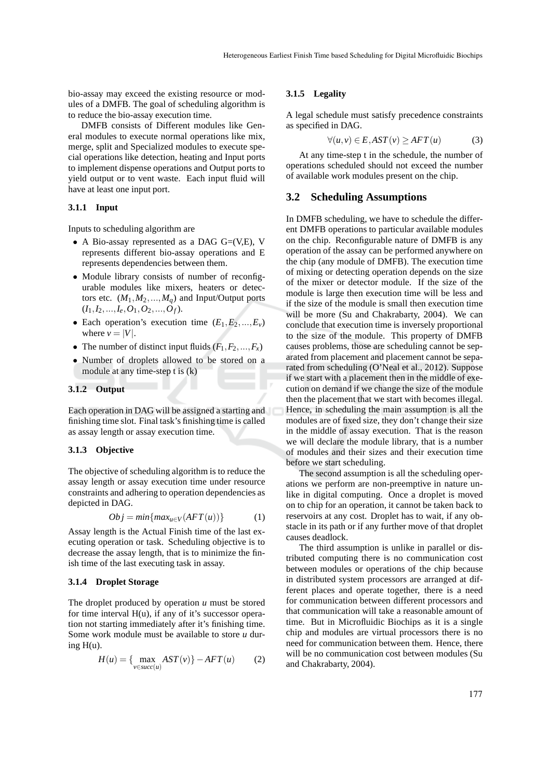bio-assay may exceed the existing resource or modules of a DMFB. The goal of scheduling algorithm is to reduce the bio-assay execution time.

DMFB consists of Different modules like General modules to execute normal operations like mix, merge, split and Specialized modules to execute special operations like detection, heating and Input ports to implement dispense operations and Output ports to yield output or to vent waste. Each input fluid will have at least one input port.

#### **3.1.1 Input**

Inputs to scheduling algorithm are

- A Bio-assay represented as a DAG G=(V,E), V represents different bio-assay operations and E represents dependencies between them.
- Module library consists of number of reconfigurable modules like mixers, heaters or detectors etc.  $(M_1, M_2, ..., M_a)$  and Input/Output ports  $(I_1, I_2, \ldots, I_e, O_1, O_2, \ldots, O_f).$
- Each operation's execution time  $(E_1, E_2, ..., E_v)$ where  $v = |V|$ .
- The number of distinct input fluids  $(F_1, F_2, ..., F_x)$
- Number of droplets allowed to be stored on a module at any time-step t is (k)

#### **3.1.2 Output**

Each operation in DAG will be assigned a starting and finishing time slot. Final task's finishing time is called as assay length or assay execution time.

#### **3.1.3 Objective**

The objective of scheduling algorithm is to reduce the assay length or assay execution time under resource constraints and adhering to operation dependencies as depicted in DAG.

$$
Obj = min\{max_{u \in V}(AFT(u))\}
$$
 (1)

Assay length is the Actual Finish time of the last executing operation or task. Scheduling objective is to decrease the assay length, that is to minimize the finish time of the last executing task in assay.

#### **3.1.4 Droplet Storage**

The droplet produced by operation *u* must be stored for time interval  $H(u)$ , if any of it's successor operation not starting immediately after it's finishing time. Some work module must be available to store *u* during  $H(u)$ .

$$
H(u) = \{ \max_{v \in succ(u)} AST(v) \} - AFT(u) \tag{2}
$$

#### **3.1.5 Legality**

A legal schedule must satisfy precedence constraints as specified in DAG.

$$
\forall (u, v) \in E, AST(v) \ge AFT(u)
$$
 (3)

At any time-step t in the schedule, the number of operations scheduled should not exceed the number of available work modules present on the chip.

#### **3.2 Scheduling Assumptions**

In DMFB scheduling, we have to schedule the different DMFB operations to particular available modules on the chip. Reconfigurable nature of DMFB is any operation of the assay can be performed anywhere on the chip (any module of DMFB). The execution time of mixing or detecting operation depends on the size of the mixer or detector module. If the size of the module is large then execution time will be less and if the size of the module is small then execution time will be more (Su and Chakrabarty, 2004). We can conclude that execution time is inversely proportional to the size of the module. This property of DMFB causes problems, those are scheduling cannot be separated from placement and placement cannot be separated from scheduling (O'Neal et al., 2012). Suppose if we start with a placement then in the middle of execution on demand if we change the size of the module then the placement that we start with becomes illegal. Hence, in scheduling the main assumption is all the modules are of fixed size, they don't change their size in the middle of assay execution. That is the reason we will declare the module library, that is a number of modules and their sizes and their execution time before we start scheduling.

The second assumption is all the scheduling operations we perform are non-preemptive in nature unlike in digital computing. Once a droplet is moved on to chip for an operation, it cannot be taken back to reservoirs at any cost. Droplet has to wait, if any obstacle in its path or if any further move of that droplet causes deadlock.

The third assumption is unlike in parallel or distributed computing there is no communication cost between modules or operations of the chip because in distributed system processors are arranged at different places and operate together, there is a need for communication between different processors and that communication will take a reasonable amount of time. But in Microfluidic Biochips as it is a single chip and modules are virtual processors there is no need for communication between them. Hence, there will be no communication cost between modules (Su and Chakrabarty, 2004).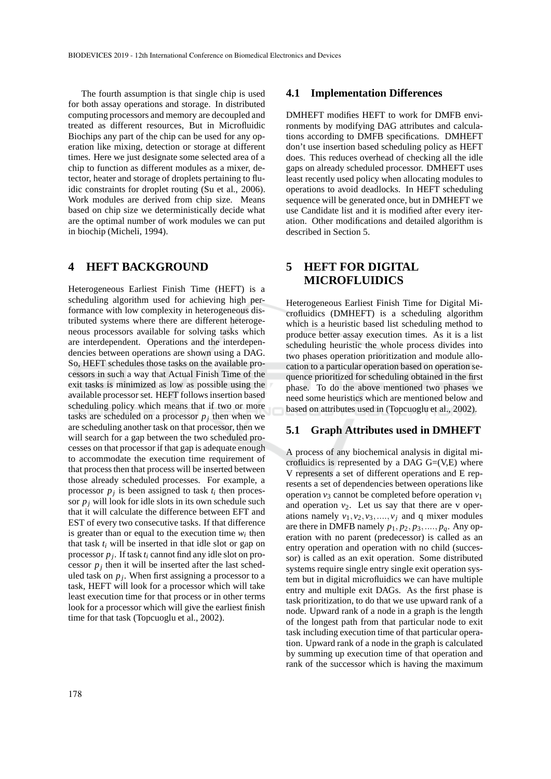The fourth assumption is that single chip is used for both assay operations and storage. In distributed computing processors and memory are decoupled and treated as different resources, But in Microfluidic Biochips any part of the chip can be used for any operation like mixing, detection or storage at different times. Here we just designate some selected area of a chip to function as different modules as a mixer, detector, heater and storage of droplets pertaining to fluidic constraints for droplet routing (Su et al., 2006). Work modules are derived from chip size. Means based on chip size we deterministically decide what are the optimal number of work modules we can put in biochip (Micheli, 1994).

### **4 HEFT BACKGROUND**

Heterogeneous Earliest Finish Time (HEFT) is a scheduling algorithm used for achieving high performance with low complexity in heterogeneous distributed systems where there are different heterogeneous processors available for solving tasks which are interdependent. Operations and the interdependencies between operations are shown using a DAG. So, HEFT schedules those tasks on the available processors in such a way that Actual Finish Time of the exit tasks is minimized as low as possible using the available processor set. HEFT follows insertion based scheduling policy which means that if two or more tasks are scheduled on a processor *p<sup>j</sup>* then when we are scheduling another task on that processor, then we will search for a gap between the two scheduled processes on that processor if that gap is adequate enough to accommodate the execution time requirement of that process then that process will be inserted between those already scheduled processes. For example, a processor  $p_j$  is been assigned to task  $t_i$  then processor  $p_j$  will look for idle slots in its own schedule such that it will calculate the difference between EFT and EST of every two consecutive tasks. If that difference is greater than or equal to the execution time  $w_i$  then that task  $t_i$  will be inserted in that idle slot or gap on processor *p<sup>j</sup>* . If task *t<sup>i</sup>* cannot find any idle slot on processor  $p_j$  then it will be inserted after the last scheduled task on  $p_j$ . When first assigning a processor to a task, HEFT will look for a processor which will take least execution time for that process or in other terms look for a processor which will give the earliest finish time for that task (Topcuoglu et al., 2002).

#### **4.1 Implementation Differences**

DMHEFT modifies HEFT to work for DMFB environments by modifying DAG attributes and calculations according to DMFB specifications. DMHEFT don't use insertion based scheduling policy as HEFT does. This reduces overhead of checking all the idle gaps on already scheduled processor. DMHEFT uses least recently used policy when allocating modules to operations to avoid deadlocks. In HEFT scheduling sequence will be generated once, but in DMHEFT we use Candidate list and it is modified after every iteration. Other modifications and detailed algorithm is described in Section 5.

## **5 HEFT FOR DIGITAL MICROFLUIDICS**

Heterogeneous Earliest Finish Time for Digital Microfluidics (DMHEFT) is a scheduling algorithm which is a heuristic based list scheduling method to produce better assay execution times. As it is a list scheduling heuristic the whole process divides into two phases operation prioritization and module allocation to a particular operation based on operation sequence prioritized for scheduling obtained in the first phase. To do the above mentioned two phases we need some heuristics which are mentioned below and based on attributes used in (Topcuoglu et al., 2002).

#### **5.1 Graph Attributes used in DMHEFT**

A process of any biochemical analysis in digital microfluidics is represented by a DAG  $G=(V,E)$  where V represents a set of different operations and E represents a set of dependencies between operations like operation  $v_3$  cannot be completed before operation  $v_1$ and operation  $v_2$ . Let us say that there are v operations namely  $v_1$ ,  $v_2$ ,  $v_3$ , ...,  $v_j$  and q mixer modules are there in DMFB namely  $p_1, p_2, p_3, \ldots, p_q$ . Any operation with no parent (predecessor) is called as an entry operation and operation with no child (successor) is called as an exit operation. Some distributed systems require single entry single exit operation system but in digital microfluidics we can have multiple entry and multiple exit DAGs. As the first phase is task prioritization, to do that we use upward rank of a node. Upward rank of a node in a graph is the length of the longest path from that particular node to exit task including execution time of that particular operation. Upward rank of a node in the graph is calculated by summing up execution time of that operation and rank of the successor which is having the maximum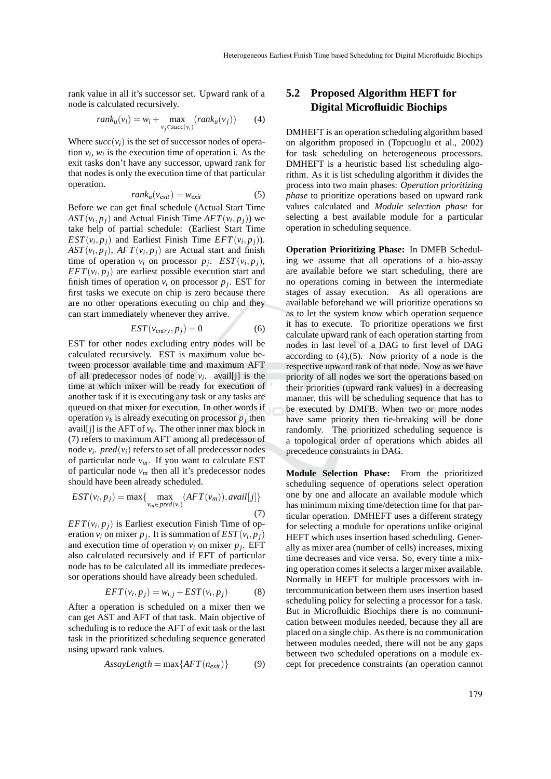rank value in all it's successor set. Upward rank of a node is calculated recursively.

$$
rank_u(v_i) = w_i + \max_{v_j \in succ(v_i)}(rank_u(v_j)) \qquad (4)
$$

Where  $succ(v_i)$  is the set of successor nodes of operation  $v_i$ ,  $w_i$  is the execution time of operation i. As the exit tasks don't have any successor, upward rank for that nodes is only the execution time of that particular operation.

$$
rank_u(v_{exit}) = w_{exit} \tag{5}
$$

Before we can get final schedule (Actual Start Time  $AST(v_i, p_j)$  and Actual Finish Time  $AFT(v_i, p_j)$ ) we take help of partial schedule: (Earliest Start Time *EST*( $v_i$ ,  $p_j$ ) and Earliest Finish Time *EFT*( $v_i$ ,  $p_j$ )).  $AST(v_i, p_j)$ ,  $AFT(v_i, p_j)$  are Actual start and finish time of operation  $v_i$  on processor  $p_j$ .  $EST(v_i, p_j)$ ,  $EFT(v_i, p_j)$  are earliest possible execution start and finish times of operation  $v_i$  on processor  $p_j$ . EST for first tasks we execute on chip is zero because there are no other operations executing on chip and they can start immediately whenever they arrive.

$$
EST(v_{entry}, p_j) = 0 \tag{6}
$$

EST for other nodes excluding entry nodes will be calculated recursively. EST is maximum value between processor available time and maximum AFT of all predecessor nodes of node  $v_i$ . avail[j] is the time at which mixer will be ready for execution of another task if it is executing any task or any tasks are queued on that mixer for execution. In other words if operation  $v_k$  is already executing on processor  $p_j$  then avail[j] is the AFT of  $v_k$ . The other inner max block in (7) refers to maximum AFT among all predecessor of node  $v_i$ .  $pred(v_i)$  refers to set of all predecessor nodes of particular node  $v_m$ . If you want to calculate EST of particular node  $v_m$  then all it's predecessor nodes should have been already scheduled.

$$
EST(v_i, p_j) = \max\{\max_{v_m \in pred(v_i)} (AFT(v_m)), \text{avail}[j]\}\
$$
\n(7)

 $EFT(v_i, p_j)$  is Earliest execution Finish Time of operation  $v_i$  on mixer  $p_j$ . It is summation of  $EST(v_i, p_j)$ and execution time of operation  $v_i$  on mixer  $p_j$ . EFT also calculated recursively and if EFT of particular node has to be calculated all its immediate predecessor operations should have already been scheduled.

$$
EFT(v_i, p_j) = w_{i,j} + EST(v_i, p_j)
$$
 (8)

After a operation is scheduled on a mixer then we can get AST and AFT of that task. Main objective of scheduling is to reduce the AFT of exit task or the last task in the prioritized scheduling sequence generated using upward rank values.

$$
AssayLength = \max\{AFT(n_{exit})\} \tag{9}
$$

## **5.2 Proposed Algorithm HEFT for Digital Microfluidic Biochips**

DMHEFT is an operation scheduling algorithm based on algorithm proposed in (Topcuoglu et al., 2002) for task scheduling on heterogeneous processors. DMHEFT is a heuristic based list scheduling algorithm. As it is list scheduling algorithm it divides the process into two main phases: *Operation prioritizing phase* to prioritize operations based on upward rank values calculated and *Module selection phase* for selecting a best available module for a particular operation in scheduling sequence.

**Operation Prioritizing Phase:** In DMFB Scheduling we assume that all operations of a bio-assay are available before we start scheduling, there are no operations coming in between the intermediate stages of assay execution. As all operations are available beforehand we will prioritize operations so as to let the system know which operation sequence it has to execute. To prioritize operations we first calculate upward rank of each operation starting from nodes in last level of a DAG to first level of DAG according to  $(4)$ ,  $(5)$ . Now priority of a node is the respective upward rank of that node. Now as we have priority of all nodes we sort the operations based on their priorities (upward rank values) in a decreasing manner, this will be scheduling sequence that has to be executed by DMFB. When two or more nodes have same priority then tie-breaking will be done randomly. The prioritized scheduling sequence is a topological order of operations which abides all precedence constraints in DAG.

**Module Selection Phase:** From the prioritized scheduling sequence of operations select operation one by one and allocate an available module which has minimum mixing time/detection time for that particular operation. DMHEFT uses a different strategy for selecting a module for operations unlike original HEFT which uses insertion based scheduling. Generally as mixer area (number of cells) increases, mixing time decreases and vice versa. So, every time a mixing operation comes it selects a larger mixer available. Normally in HEFT for multiple processors with intercommunication between them uses insertion based scheduling policy for selecting a processor for a task. But in Microfluidic Biochips there is no communication between modules needed, because they all are placed on a single chip. As there is no communication between modules needed, there will not be any gaps between two scheduled operations on a module except for precedence constraints (an operation cannot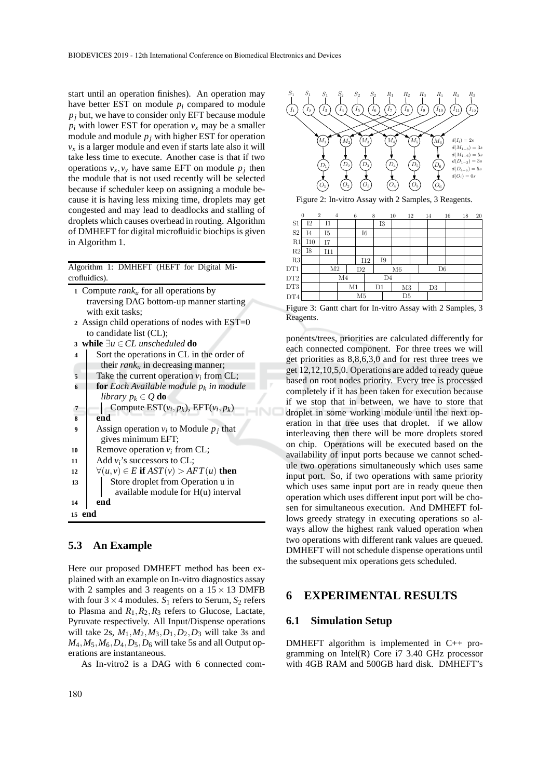start until an operation finishes). An operation may have better EST on module *p<sup>i</sup>* compared to module  $p_j$  but, we have to consider only EFT because module  $p_i$  with lower EST for operation  $v_x$  may be a smaller module and module  $p_j$  with higher EST for operation  $v_x$  is a larger module and even if starts late also it will take less time to execute. Another case is that if two operations  $v_x, v_y$  have same EFT on module  $p_j$  then the module that is not used recently will be selected because if scheduler keep on assigning a module because it is having less mixing time, droplets may get congested and may lead to deadlocks and stalling of droplets which causes overhead in routing. Algorithm of DMHEFT for digital microfluidic biochips is given in Algorithm 1.

Algorithm 1: DMHEFT (HEFT for Digital Microfluidics).

|                | 1 Compute $rank_u$ for all operations by         |  |  |  |  |  |  |  |  |
|----------------|--------------------------------------------------|--|--|--|--|--|--|--|--|
|                | traversing DAG bottom-up manner starting         |  |  |  |  |  |  |  |  |
|                | with exit tasks;                                 |  |  |  |  |  |  |  |  |
|                | 2 Assign child operations of nodes with $EST=0$  |  |  |  |  |  |  |  |  |
|                | to candidate list (CL);                          |  |  |  |  |  |  |  |  |
|                | 3 while $\exists u \in CL$ unscheduled do        |  |  |  |  |  |  |  |  |
| 4              | Sort the operations in CL in the order of        |  |  |  |  |  |  |  |  |
|                | their $rank_u$ in decreasing manner;             |  |  |  |  |  |  |  |  |
| 5              | Take the current operation $v_i$ from CL;        |  |  |  |  |  |  |  |  |
| 6              | <b>for</b> Each Available module $p_k$ in module |  |  |  |  |  |  |  |  |
|                | <i>library</i> $p_k \in Q$ do                    |  |  |  |  |  |  |  |  |
| $\overline{7}$ | Compute $EST(v_i, p_k)$ , $EFT(v_i, p_k)$        |  |  |  |  |  |  |  |  |
| 8              | end                                              |  |  |  |  |  |  |  |  |
| 9              | Assign operation $v_i$ to Module $p_i$ that      |  |  |  |  |  |  |  |  |
|                | gives minimum EFT;                               |  |  |  |  |  |  |  |  |
| 10             | Remove operation $v_i$ from CL;                  |  |  |  |  |  |  |  |  |
| 11             | Add $v_i$ 's successors to CL;                   |  |  |  |  |  |  |  |  |
| 12             | $\forall (u, v) \in E$ if $AST(v) > AFT(u)$ then |  |  |  |  |  |  |  |  |
| 13             | Store droplet from Operation u in                |  |  |  |  |  |  |  |  |
|                | available module for H(u) interval               |  |  |  |  |  |  |  |  |
| 14             | end                                              |  |  |  |  |  |  |  |  |
|                | end<br>$15-15$                                   |  |  |  |  |  |  |  |  |
|                |                                                  |  |  |  |  |  |  |  |  |

### **5.3 An Example**

Here our proposed DMHEFT method has been explained with an example on In-vitro diagnostics assay with 2 samples and 3 reagents on a  $15 \times 13$  DMFB with four  $3 \times 4$  modules.  $S_1$  refers to Serum,  $S_2$  refers to Plasma and  $R_1, R_2, R_3$  refers to Glucose, Lactate, Pyruvate respectively. All Input/Dispense operations will take 2s,  $M_1, M_2, M_3, D_1, D_2, D_3$  will take 3s and  $M_4$ ,  $M_5$ ,  $M_6$ ,  $D_4$ ,  $D_5$ ,  $D_6$  will take 5s and all Output operations are instantaneous.

As In-vitro2 is a DAG with 6 connected com-



Figure 2: In-vitro Assay with 2 Samples, 3 Reagents.

|                 | $\overline{2}$<br>$\overline{0}$ | $\overline{4}$ |                | 6          | 8              | 10 | 12             |  | 14 | 16 | 18 | 20 |
|-----------------|----------------------------------|----------------|----------------|------------|----------------|----|----------------|--|----|----|----|----|
| S <sub>1</sub>  | I2                               | 11             |                |            | 13             |    |                |  |    |    |    |    |
| S <sub>2</sub>  | I4                               | I5             |                | I6         |                |    |                |  |    |    |    |    |
| R1              | I10                              | Ι7             |                |            |                |    |                |  |    |    |    |    |
| R2              | I8                               | I11            |                |            |                |    |                |  |    |    |    |    |
| R3              |                                  |                |                | <b>I12</b> | Ι9             |    |                |  |    |    |    |    |
| DT1             |                                  | M <sub>2</sub> |                | D2         |                |    | D <sub>6</sub> |  |    |    |    |    |
| DT <sub>2</sub> |                                  |                | M <sub>4</sub> |            | D <sub>4</sub> |    |                |  |    |    |    |    |
| DT3             |                                  |                | M1             |            | D1             |    | M3             |  | D3 |    |    |    |
| DT4             |                                  |                |                | M5         |                | D5 |                |  |    |    |    |    |

Figure 3: Gantt chart for In-vitro Assay with 2 Samples, 3 Reagents.

ponents/trees, priorities are calculated differently for each connected component. For three trees we will get priorities as 8,8,6,3,0 and for rest three trees we get 12,12,10,5,0. Operations are added to ready queue based on root nodes priority. Every tree is processed completely if it has been taken for execution because if we stop that in between, we have to store that droplet in some working module until the next operation in that tree uses that droplet. if we allow interleaving then there will be more droplets stored on chip. Operations will be executed based on the availability of input ports because we cannot schedule two operations simultaneously which uses same input port. So, if two operations with same priority which uses same input port are in ready queue then operation which uses different input port will be chosen for simultaneous execution. And DMHEFT follows greedy strategy in executing operations so always allow the highest rank valued operation when two operations with different rank values are queued. DMHEFT will not schedule dispense operations until the subsequent mix operations gets scheduled.

## **6 EXPERIMENTAL RESULTS**

### **6.1 Simulation Setup**

DMHEFT algorithm is implemented in C++ programming on Intel(R) Core i7 3.40 GHz processor with 4GB RAM and 500GB hard disk. DMHEFT's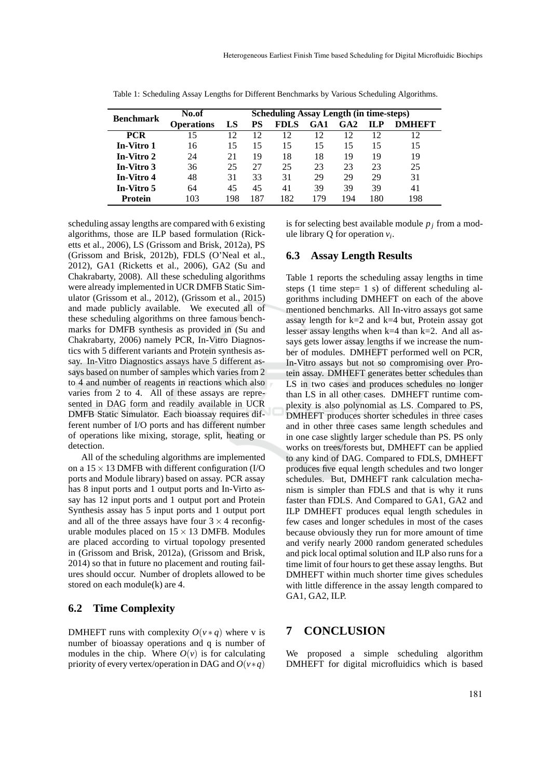|                  | No.of             | <b>Scheduling Assay Length (in time-steps)</b> |           |             |      |     |            |               |  |
|------------------|-------------------|------------------------------------------------|-----------|-------------|------|-----|------------|---------------|--|
| <b>Benchmark</b> | <b>Operations</b> | LS                                             | <b>PS</b> | <b>FDLS</b> | G A1 | GA2 | <b>ILP</b> | <b>DMHEFT</b> |  |
| <b>PCR</b>       | 15                | 12                                             | 12        | 12          | 12   | 12  | 12         | 12            |  |
| In-Vitro 1       | 16                | 15                                             | 15        | 15          | 15   | 15  | 15         | 15            |  |
| In-Vitro 2       | 24                | 21                                             | 19        | 18          | 18   | 19  | 19         | 19            |  |
| In-Vitro 3       | 36                | 25                                             | 27        | 25          | 23   | 23  | 23         | 25            |  |
| In-Vitro 4       | 48                | 31                                             | 33        | 31          | 29   | 29  | 29         | 31            |  |
| In-Vitro 5       | 64                | 45                                             | 45        | 41          | 39   | 39  | 39         | 41            |  |
| Protein          | 103               | 198                                            | 187       | 182         | 179  | -94 | 180        | 198           |  |

Table 1: Scheduling Assay Lengths for Different Benchmarks by Various Scheduling Algorithms.

scheduling assay lengths are compared with 6 existing algorithms, those are ILP based formulation (Ricketts et al., 2006), LS (Grissom and Brisk, 2012a), PS (Grissom and Brisk, 2012b), FDLS (O'Neal et al., 2012), GA1 (Ricketts et al., 2006), GA2 (Su and Chakrabarty, 2008). All these scheduling algorithms were already implemented in UCR DMFB Static Simulator (Grissom et al., 2012), (Grissom et al., 2015) and made publicly available. We executed all of these scheduling algorithms on three famous benchmarks for DMFB synthesis as provided in (Su and Chakrabarty, 2006) namely PCR, In-Vitro Diagnostics with 5 different variants and Protein synthesis assay. In-Vitro Diagnostics assays have 5 different assays based on number of samples which varies from 2 to 4 and number of reagents in reactions which also varies from 2 to 4. All of these assays are represented in DAG form and readily available in UCR DMFB Static Simulator. Each bioassay requires different number of I/O ports and has different number of operations like mixing, storage, split, heating or detection.

All of the scheduling algorithms are implemented on a  $15 \times 13$  DMFB with different configuration (I/O ports and Module library) based on assay. PCR assay has 8 input ports and 1 output ports and In-Virto assay has 12 input ports and 1 output port and Protein Synthesis assay has 5 input ports and 1 output port and all of the three assays have four  $3 \times 4$  reconfigurable modules placed on  $15 \times 13$  DMFB. Modules are placed according to virtual topology presented in (Grissom and Brisk, 2012a), (Grissom and Brisk, 2014) so that in future no placement and routing failures should occur. Number of droplets allowed to be stored on each module(k) are 4.

#### **6.2 Time Complexity**

DMHEFT runs with complexity  $O(v * q)$  where v is number of bioassay operations and q is number of modules in the chip. Where  $O(v)$  is for calculating priority of every vertex/operation in DAG and  $O(v * q)$ 

is for selecting best available module  $p_j$  from a module library  $Q$  for operation  $v_i$ .

#### **6.3 Assay Length Results**

Table 1 reports the scheduling assay lengths in time steps  $(1 \text{ time step} = 1 \text{ s})$  of different scheduling algorithms including DMHEFT on each of the above mentioned benchmarks. All In-vitro assays got same assay length for k=2 and k=4 but, Protein assay got lesser assay lengths when  $k=4$  than  $k=2$ . And all assays gets lower assay lengths if we increase the number of modules. DMHEFT performed well on PCR, In-Vitro assays but not so compromising over Protein assay. DMHEFT generates better schedules than LS in two cases and produces schedules no longer than LS in all other cases. DMHEFT runtime complexity is also polynomial as LS. Compared to PS, DMHEFT produces shorter schedules in three cases and in other three cases same length schedules and in one case slightly larger schedule than PS. PS only works on trees/forests but, DMHEFT can be applied to any kind of DAG. Compared to FDLS, DMHEFT produces five equal length schedules and two longer schedules. But, DMHEFT rank calculation mechanism is simpler than FDLS and that is why it runs faster than FDLS. And Compared to GA1, GA2 and ILP DMHEFT produces equal length schedules in few cases and longer schedules in most of the cases because obviously they run for more amount of time and verify nearly 2000 random generated schedules and pick local optimal solution and ILP also runs for a time limit of four hours to get these assay lengths. But DMHEFT within much shorter time gives schedules with little difference in the assay length compared to GA1, GA2, ILP.

## **7 CONCLUSION**

We proposed a simple scheduling algorithm DMHEFT for digital microfluidics which is based